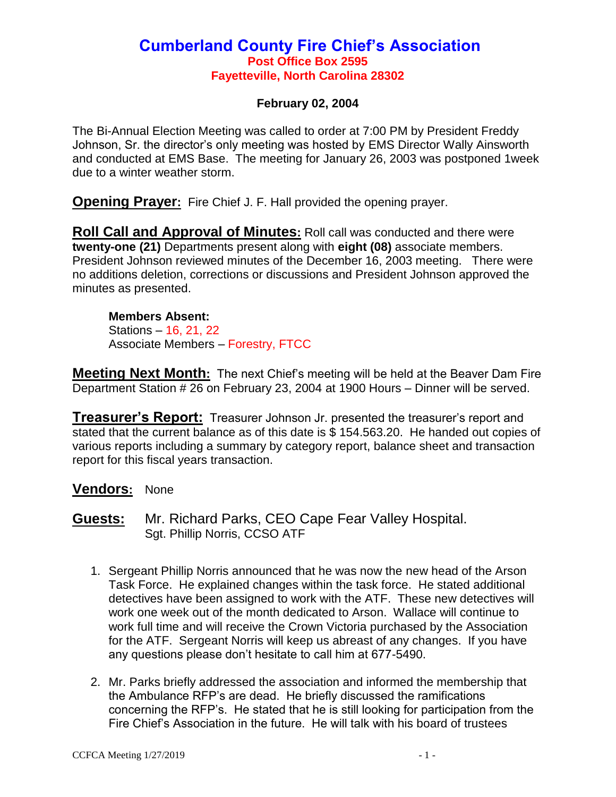#### **Cumberland County Fire Chief's Association Post Office Box 2595 Fayetteville, North Carolina 28302**

#### **February 02, 2004**

The Bi-Annual Election Meeting was called to order at 7:00 PM by President Freddy Johnson, Sr. the director's only meeting was hosted by EMS Director Wally Ainsworth and conducted at EMS Base. The meeting for January 26, 2003 was postponed 1week due to a winter weather storm.

**Opening Prayer:** Fire Chief J. F. Hall provided the opening prayer.

**Roll Call and Approval of Minutes:** Roll call was conducted and there were **twenty-one (21)** Departments present along with **eight (08)** associate members. President Johnson reviewed minutes of the December 16, 2003 meeting. There were no additions deletion, corrections or discussions and President Johnson approved the minutes as presented.

**Members Absent:** Stations – 16, 21, 22 Associate Members – Forestry, FTCC

**Meeting Next Month:** The next Chief's meeting will be held at the Beaver Dam Fire Department Station # 26 on February 23, 2004 at 1900 Hours – Dinner will be served.

**Treasurer's Report:** Treasurer Johnson Jr. presented the treasurer's report and stated that the current balance as of this date is \$ 154.563.20. He handed out copies of various reports including a summary by category report, balance sheet and transaction report for this fiscal years transaction.

#### **Vendors:** None

**Guests:** Mr. Richard Parks, CEO Cape Fear Valley Hospital. Sgt. Phillip Norris, CCSO ATF

- 1. Sergeant Phillip Norris announced that he was now the new head of the Arson Task Force. He explained changes within the task force. He stated additional detectives have been assigned to work with the ATF. These new detectives will work one week out of the month dedicated to Arson. Wallace will continue to work full time and will receive the Crown Victoria purchased by the Association for the ATF. Sergeant Norris will keep us abreast of any changes. If you have any questions please don't hesitate to call him at 677-5490.
- 2. Mr. Parks briefly addressed the association and informed the membership that the Ambulance RFP's are dead. He briefly discussed the ramifications concerning the RFP's. He stated that he is still looking for participation from the Fire Chief's Association in the future. He will talk with his board of trustees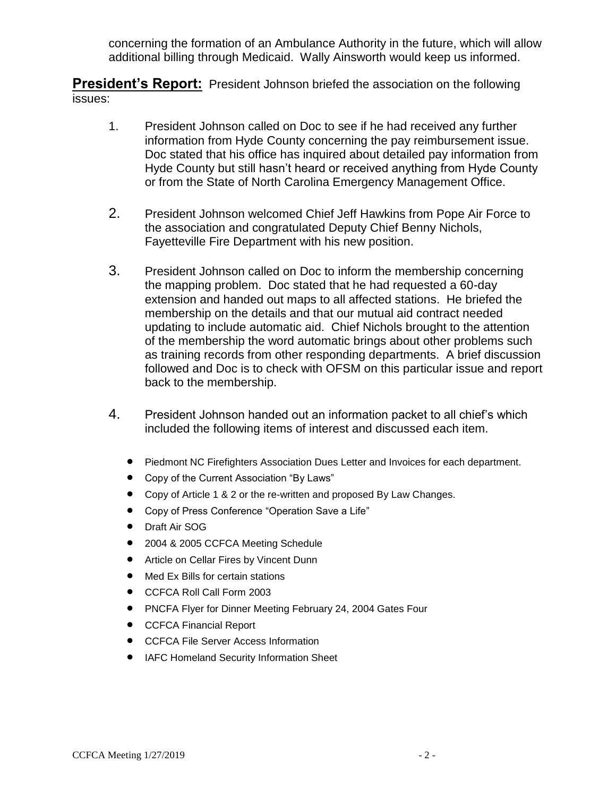concerning the formation of an Ambulance Authority in the future, which will allow additional billing through Medicaid. Wally Ainsworth would keep us informed.

**President's Report:** President Johnson briefed the association on the following issues:

- 1. President Johnson called on Doc to see if he had received any further information from Hyde County concerning the pay reimbursement issue. Doc stated that his office has inquired about detailed pay information from Hyde County but still hasn't heard or received anything from Hyde County or from the State of North Carolina Emergency Management Office.
- 2. President Johnson welcomed Chief Jeff Hawkins from Pope Air Force to the association and congratulated Deputy Chief Benny Nichols, Fayetteville Fire Department with his new position.
- 3. President Johnson called on Doc to inform the membership concerning the mapping problem. Doc stated that he had requested a 60-day extension and handed out maps to all affected stations. He briefed the membership on the details and that our mutual aid contract needed updating to include automatic aid. Chief Nichols brought to the attention of the membership the word automatic brings about other problems such as training records from other responding departments. A brief discussion followed and Doc is to check with OFSM on this particular issue and report back to the membership.
- 4. President Johnson handed out an information packet to all chief's which included the following items of interest and discussed each item.
	- Piedmont NC Firefighters Association Dues Letter and Invoices for each department.
	- Copy of the Current Association "By Laws"
	- Copy of Article 1 & 2 or the re-written and proposed By Law Changes.
	- Copy of Press Conference "Operation Save a Life"
	- Draft Air SOG
	- 2004 & 2005 CCFCA Meeting Schedule
	- **•** Article on Cellar Fires by Vincent Dunn
	- Med Ex Bills for certain stations
	- CCFCA Roll Call Form 2003
	- PNCFA Flyer for Dinner Meeting February 24, 2004 Gates Four
	- CCFCA Financial Report
	- **CCFCA File Server Access Information**
	- **IAFC Homeland Security Information Sheet**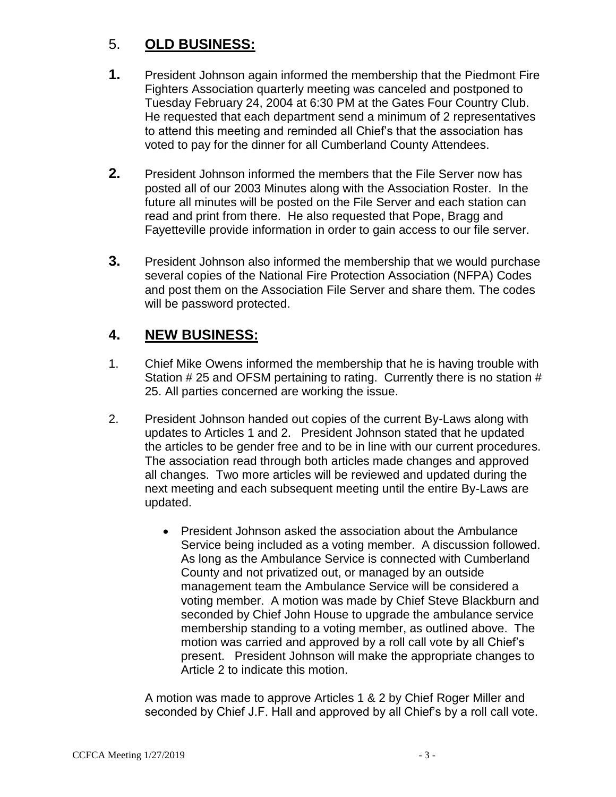## 5. **OLD BUSINESS:**

- **1.** President Johnson again informed the membership that the Piedmont Fire Fighters Association quarterly meeting was canceled and postponed to Tuesday February 24, 2004 at 6:30 PM at the Gates Four Country Club. He requested that each department send a minimum of 2 representatives to attend this meeting and reminded all Chief's that the association has voted to pay for the dinner for all Cumberland County Attendees.
- **2.** President Johnson informed the members that the File Server now has posted all of our 2003 Minutes along with the Association Roster. In the future all minutes will be posted on the File Server and each station can read and print from there. He also requested that Pope, Bragg and Fayetteville provide information in order to gain access to our file server.
- **3.** President Johnson also informed the membership that we would purchase several copies of the National Fire Protection Association (NFPA) Codes and post them on the Association File Server and share them. The codes will be password protected.

## **4. NEW BUSINESS:**

- 1. Chief Mike Owens informed the membership that he is having trouble with Station # 25 and OFSM pertaining to rating. Currently there is no station # 25. All parties concerned are working the issue.
- 2. President Johnson handed out copies of the current By-Laws along with updates to Articles 1 and 2. President Johnson stated that he updated the articles to be gender free and to be in line with our current procedures. The association read through both articles made changes and approved all changes. Two more articles will be reviewed and updated during the next meeting and each subsequent meeting until the entire By-Laws are updated.
	- President Johnson asked the association about the Ambulance Service being included as a voting member. A discussion followed. As long as the Ambulance Service is connected with Cumberland County and not privatized out, or managed by an outside management team the Ambulance Service will be considered a voting member. A motion was made by Chief Steve Blackburn and seconded by Chief John House to upgrade the ambulance service membership standing to a voting member, as outlined above. The motion was carried and approved by a roll call vote by all Chief's present. President Johnson will make the appropriate changes to Article 2 to indicate this motion.

A motion was made to approve Articles 1 & 2 by Chief Roger Miller and seconded by Chief J.F. Hall and approved by all Chief's by a roll call vote.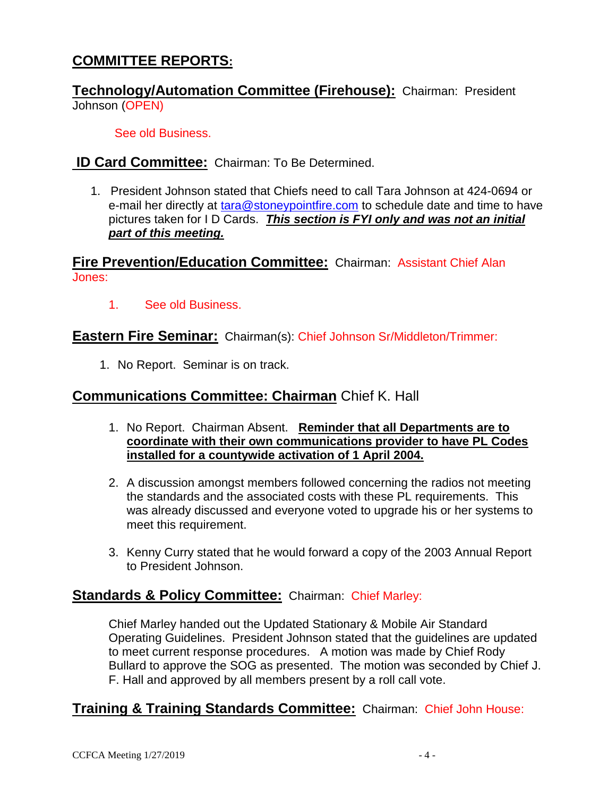## **COMMITTEE REPORTS:**

**Technology/Automation Committee (Firehouse):** Chairman: President Johnson (OPEN)

See old Business.

**ID Card Committee:** Chairman: To Be Determined.

1. President Johnson stated that Chiefs need to call Tara Johnson at 424-0694 or e-mail her directly at [tara@stoneypointfire.com](mailto:tara@stoneypointfire.com) to schedule date and time to have pictures taken for I D Cards. *This section is FYI only and was not an initial part of this meeting.*

**Fire Prevention/Education Committee:** Chairman: Assistant Chief Alan Jones:

1. See old Business.

#### **Eastern Fire Seminar:** Chairman(s): Chief Johnson Sr/Middleton/Trimmer:

1. No Report. Seminar is on track.

#### **Communications Committee: Chairman** Chief K. Hall

- 1. No Report. Chairman Absent. **Reminder that all Departments are to coordinate with their own communications provider to have PL Codes installed for a countywide activation of 1 April 2004.**
- 2. A discussion amongst members followed concerning the radios not meeting the standards and the associated costs with these PL requirements. This was already discussed and everyone voted to upgrade his or her systems to meet this requirement.
- 3. Kenny Curry stated that he would forward a copy of the 2003 Annual Report to President Johnson.

#### **Standards & Policy Committee:** Chairman: Chief Marley:

Chief Marley handed out the Updated Stationary & Mobile Air Standard Operating Guidelines. President Johnson stated that the guidelines are updated to meet current response procedures. A motion was made by Chief Rody Bullard to approve the SOG as presented. The motion was seconded by Chief J. F. Hall and approved by all members present by a roll call vote.

#### **Training & Training Standards Committee:** Chairman: Chief John House: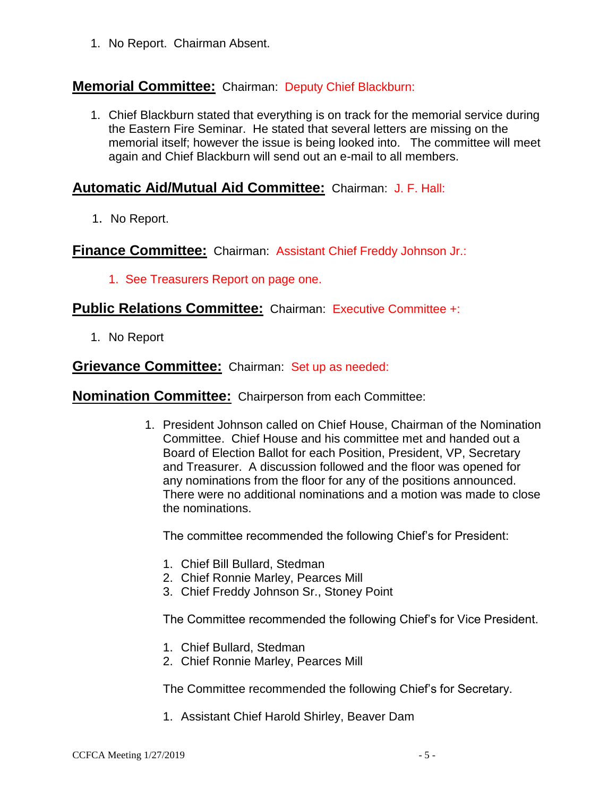1. No Report. Chairman Absent.

## **Memorial Committee:** Chairman: Deputy Chief Blackburn:

1. Chief Blackburn stated that everything is on track for the memorial service during the Eastern Fire Seminar. He stated that several letters are missing on the memorial itself; however the issue is being looked into. The committee will meet again and Chief Blackburn will send out an e-mail to all members.

#### **Automatic Aid/Mutual Aid Committee:** Chairman: J. F. Hall:

1. No Report.

**Finance Committee:** Chairman: Assistant Chief Freddy Johnson Jr.:

1. See Treasurers Report on page one.

#### **Public Relations Committee:** Chairman: Executive Committee +:

1. No Report

#### **Grievance Committee:** Chairman: Set up as needed:

**Nomination Committee:** Chairperson from each Committee:

1. President Johnson called on Chief House, Chairman of the Nomination Committee. Chief House and his committee met and handed out a Board of Election Ballot for each Position, President, VP, Secretary and Treasurer. A discussion followed and the floor was opened for any nominations from the floor for any of the positions announced. There were no additional nominations and a motion was made to close the nominations.

The committee recommended the following Chief's for President:

- 1. Chief Bill Bullard, Stedman
- 2. Chief Ronnie Marley, Pearces Mill
- 3. Chief Freddy Johnson Sr., Stoney Point

The Committee recommended the following Chief's for Vice President.

- 1. Chief Bullard, Stedman
- 2. Chief Ronnie Marley, Pearces Mill

The Committee recommended the following Chief's for Secretary.

1. Assistant Chief Harold Shirley, Beaver Dam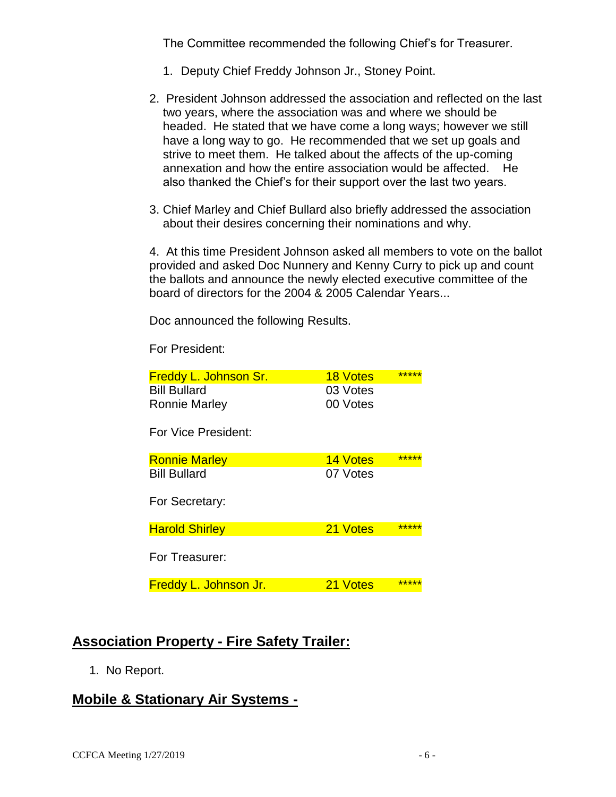The Committee recommended the following Chief's for Treasurer.

- 1. Deputy Chief Freddy Johnson Jr., Stoney Point.
- 2. President Johnson addressed the association and reflected on the last two years, where the association was and where we should be headed. He stated that we have come a long ways; however we still have a long way to go. He recommended that we set up goals and strive to meet them. He talked about the affects of the up-coming annexation and how the entire association would be affected. He also thanked the Chief's for their support over the last two years.
- 3. Chief Marley and Chief Bullard also briefly addressed the association about their desires concerning their nominations and why.

4. At this time President Johnson asked all members to vote on the ballot provided and asked Doc Nunnery and Kenny Curry to pick up and count the ballots and announce the newly elected executive committee of the board of directors for the 2004 & 2005 Calendar Years...

Doc announced the following Results.

For President:

| <b>Freddy L. Johnson Sr.</b> | <b>18 Votes</b> | ***** |
|------------------------------|-----------------|-------|
| <b>Bill Bullard</b>          | 03 Votes        |       |
| Ronnie Marley                | 00 Votes        |       |
| For Vice President:          |                 |       |
| <b>Ronnie Marley</b>         | <b>14 Votes</b> | ***** |
| <b>Bill Bullard</b>          | 07 Votes        |       |
| For Secretary:               |                 |       |
| <b>Harold Shirley</b>        | 21 Votes        | ***** |
| For Treasurer:               |                 |       |
| <b>Freddy L. Johnson Jr.</b> | 21 Votes        | ***** |

#### **Association Property - Fire Safety Trailer:**

1. No Report.

## **Mobile & Stationary Air Systems -**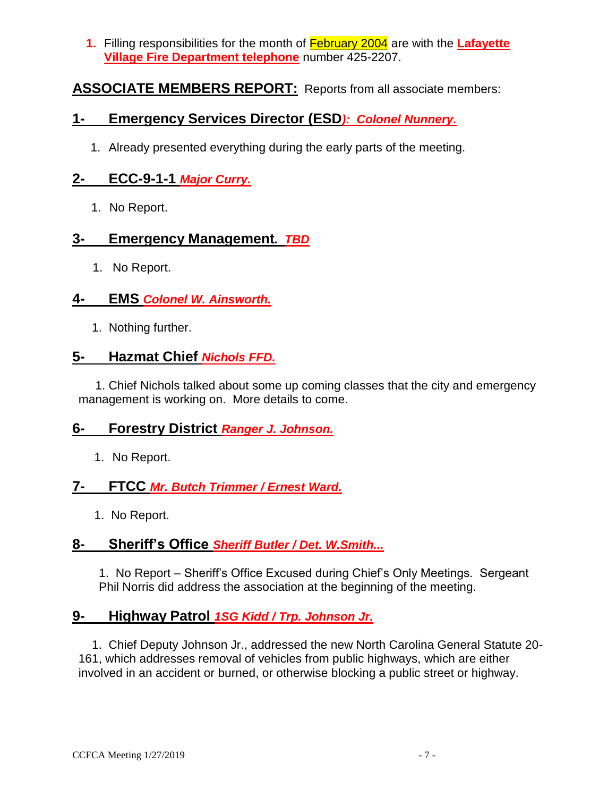**1.** Filling responsibilities for the month of February 2004 are with the **Lafayette Village Fire Department telephone** number 425-2207.

## **ASSOCIATE MEMBERS REPORT:** Reports from all associate members:

## **1- Emergency Services Director (ESD***): Colonel Nunnery.*

1. Already presented everything during the early parts of the meeting.

## **2- ECC-9-1-1** *Major Curry.*

1. No Report.

#### **3- Emergency Management***. TBD*

1. No Report.

#### **4- EMS** *Colonel W. Ainsworth.*

1. Nothing further.

## **5- Hazmat Chief** *Nichols FFD.*

 1. Chief Nichols talked about some up coming classes that the city and emergency management is working on. More details to come.

#### **6- Forestry District** *Ranger J. Johnson.*

1. No Report.

## **7- FTCC** *Mr. Butch Trimmer / Ernest Ward.*

1. No Report.

#### **8- Sheriff's Office** *Sheriff Butler / Det. W.Smith...*

1. No Report – Sheriff's Office Excused during Chief's Only Meetings. Sergeant Phil Norris did address the association at the beginning of the meeting.

#### **9- Highway Patrol** *1SG Kidd / Trp. Johnson Jr.*

 1. Chief Deputy Johnson Jr., addressed the new North Carolina General Statute 20- 161, which addresses removal of vehicles from public highways, which are either involved in an accident or burned, or otherwise blocking a public street or highway.